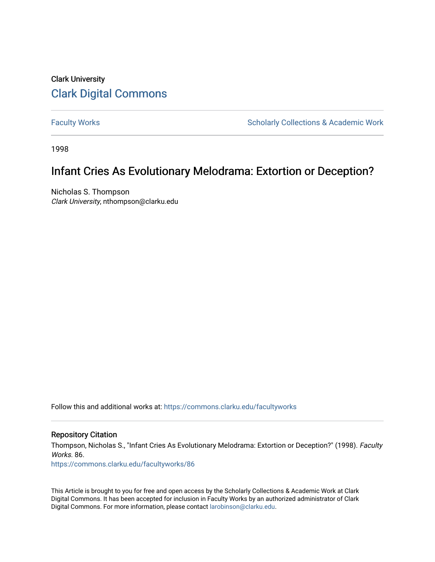# Clark University [Clark Digital Commons](https://commons.clarku.edu/)

[Faculty Works](https://commons.clarku.edu/facultyworks) **Scholarly Collections & Academic Work** Scholarly Collections & Academic Work

1998

# Infant Cries As Evolutionary Melodrama: Extortion or Deception?

Nicholas S. Thompson Clark University, nthompson@clarku.edu

Follow this and additional works at: [https://commons.clarku.edu/facultyworks](https://commons.clarku.edu/facultyworks?utm_source=commons.clarku.edu%2Ffacultyworks%2F86&utm_medium=PDF&utm_campaign=PDFCoverPages) 

### Repository Citation

Thompson, Nicholas S., "Infant Cries As Evolutionary Melodrama: Extortion or Deception?" (1998). Faculty Works. 86.

[https://commons.clarku.edu/facultyworks/86](https://commons.clarku.edu/facultyworks/86?utm_source=commons.clarku.edu%2Ffacultyworks%2F86&utm_medium=PDF&utm_campaign=PDFCoverPages)

This Article is brought to you for free and open access by the Scholarly Collections & Academic Work at Clark Digital Commons. It has been accepted for inclusion in Faculty Works by an authorized administrator of Clark Digital Commons. For more information, please contact [larobinson@clarku.edu](mailto:larobinson@clarku.edu).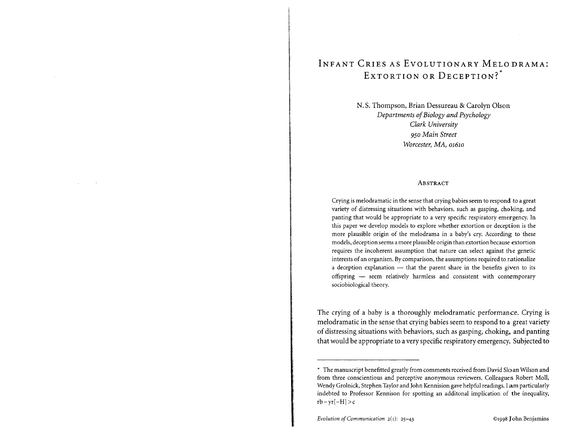# INFANT CRIES AS EVOLUTIONARY MELODRAMA: EXTORTION OR DECEPTION?<sup>\*</sup>

N.S. Thompson, Brian Dessureau & Carolyn Olson *Departments of Biology and Psychology Clark University 950 Main Street Worcester, MA, 01610*

#### ABSTRACT

Crying is melodramatic in the sense that crying babies seem to respond to a great variety of distressing situations with behaviors, such as gasping, choking, and panting that would be appropriate to a very specific respiratory emergency. In this paper we develop models to explore whether extortion or deception is the more plausible origin of the melodrama in a baby's cry. According to these models, deception seems a more plausible origin than extortion because extortion requires the incoherent assumption that nature can select against the genetic interests of an organism. By comparison, the assumptions required to rationalize a deception explanation  $-$  that the parent share in the benefits given to its offspring - seem relatively harmless and consistent with contemporary sociobiological theory.

The crying of a baby is a thoroughly melodramatic performance. Crying is melodramatic in the sense that crying babies seem to respond to a great variety of distressing situations with behaviors, such as gasping, choking, and panting that would be appropriate to a very specific respiratory emergency. Subjected to

<sup>\*</sup> The manuscript benefitted greatly from comments received from David Sloan Wilson and from three conscientious and perceptive anonymous reviewers. Colleagues Robert Moll, Wendy Grolnick, Stephen Taylor and John Kennision gave helpful readings. I am particularly indebted to Professor Kennison for spotting an additonal implication of the inequality,  $rb-yr[-H] > c$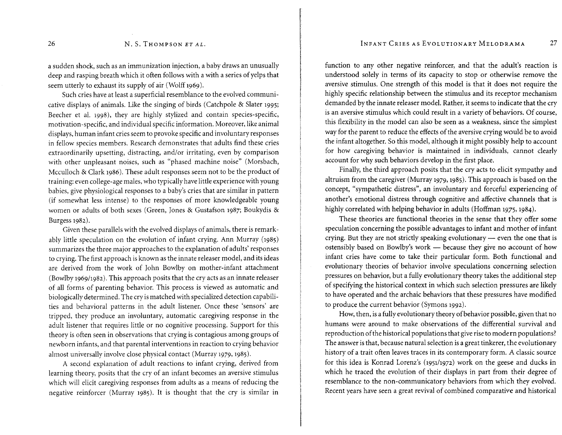a sudden shock, such as an immunization injection, a baby draws an unusually deep and rasping breath which it often follows with a with a series of yelps that seem utterly to exhaust its supply of air (Wolff 1969).

Such cries have at least a superficial resemblance to the evolved communicative displays of animals. Like the singing of birds (Catchpole & Slater 1995; Beecher et al. 1998), they are highly stylized and contain species-specific, motivation-specific, and individual specific information. Moreover, like animal displays, human infant cries seem to provoke specific and involuntary responses in fellow species members. Research demonstrates that adults find these cries extraordinarily upsetting, distracting, and/or irritating, even by comparison with other unpleasant noises, such as "phased machine noise" (Morsbach, Mcculloch & Clark 1986). These adult responses seem not to be the product of training: even college-age males, who typically have little experience with young babies, give physiological responses to a baby's cries that are similar in pattern (if somewhat less intense) to the responses of more knowledgeable young women or adults of both sexes (Green, Jones & Gustafson 1987; Boukydis & Burgess 1982).

Given these parallels with the evolved displays of animals, there is remarkably little speculation on the evolution of infant crying. Ann Murray (1985) summarizes the three major approaches to the explanation of adults' responses to crying. The first approach isknown asthe innate releaser model, and its ideas are derived from the work of John Bowlby on mother-infant attachment (Bowlby 196911982). This approach posits that the cry acts as an innate releaser of all forms of parenting behavior. This process is viewed as automatic and biologically determined. The cry is matched with specialized detection capabilities and behavioral patterns in the adult listener. Once these 'sensors' are tripped, they produce an involuntary, automatic caregiving response in the adult listener that requires little or no cognitive processing. Support for this theory is often seen in observations that crying is contagious among groups of newborn infants, and that parental interventions in reaction to crying behavior almost universally involve close physical contact (Murray 1979, 1985).

A second explanation of adult reactions to infant crying, derived from learning theory, posits that the cry of an infant becomes an aversive stimulus which will elicit caregiving responses from adults as a means of reducing the negative reinforcer (Murray 1985). It is thought that the cry is similar in

function to any other negative reinforcer, and that the adult's reaction is understood solely in terms of its capacity to stop or otherwise remove the aversive stimulus. One strength of this model is that it does not require the highly specific relationship between the stimulus and its receptor mechanism demanded by the innate releaser model. Rather, it seems to indicate that the cry is an aversive stimulus which could result in a variety of behaviors. Of course, this flexibility in the model can also be seen as a weakness, since the simplest way for the parent to reduce the effects of the aversive crying would be to avoid the infant altogether. So this model, although it might possibly help to account for how caregiving behavior is maintained in individuals, cannot clearly account for why such behaviors develop in the first place.

Finally, the third approach posits that the cry acts to elicit sympathy and altruism from the caregiver (Murray 1979,1985). This approach is based on the concept, "sympathetic distress", an involuntary and forceful experiencing of another's emotional distress through cognitive and affective channels that is highly correlated with helping behavior in adults (Hoffman 1975, 1984).

These theories are functional theories in the sense that they offer some speculation concerning the possible advantages to infant and mother of infant crying. But they are not strictly speaking evolutionary  $-$  even the one that is ostensibly based on Bowlby's work - because they give no account of how infant cries have come to take their particular form. Both functional and evolutionary theories of behavior involve speculations concerning selection pressures on behavior, but a fully evolutionary theory takes the additional step of specifying the historical context in which such selection pressures are likely to have operated and the archaic behaviors that these pressures have modified to produce the current behavior (Symons 1992).

How,then, is a fully evolutionary theory of behavior possible, given that no humans were around to make observations of the differential survival and reproduction ofthe historical populations that giverise to modern populations? The answer isthat, because natural selection is a great tinkerer, the evolutionary history of a trait often leaves traces in its contemporary form. A classic source for this idea is Konrad Lorenz's (1951/1972) work on the geese and ducks in which he traced the evolution of their displays in part from their degree of resemblance to the non-communicatory behaviors from which they evolved. Recent years have seen a great revival of combined comparative and historical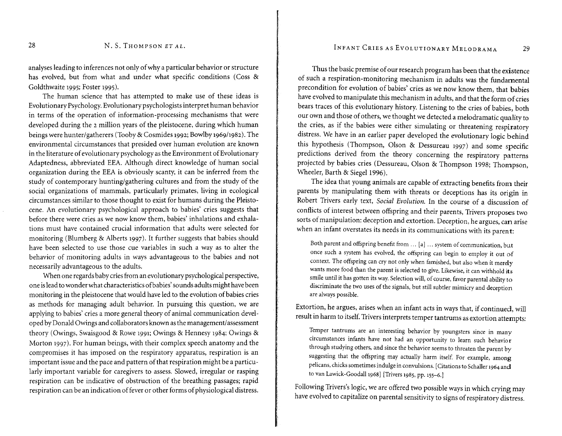#### N. S. THOMPSON ET AL.

analysesleading to inferences not only of why a particular behavior or structure has evolved, but from what and under what specific conditions (Coss & Goldthwaite 1995; Foster 1995).

The human science that has attempted to make use of these ideas is Evolutionary Psychology.Evolutionary psychologists interpret human behavior in terms of the operation of information-processing mechanisms that were developed during the 2 million years of the pleistocene, during which human beings were hunter/gatherers (Tooby & Cosmides 1992; Bowlby 1969/1982). The environmental circumstances that presided over human evolution are known in the literature of evolutionary psychology asthe Environment of Evolutionary Adaptedness, abbreviated EEA. Although direct knowledge of human social organization during the EEA is obviously scanty, it can be inferred from the study of contemporary hunting/gathering cultures and from the study of the social organizations of mammals, particularly primates, living in ecological circumstances similar to those thought to exist for humans during the Pleistocene. An evolutionary psychological approach to babies' cries suggests that before there were cries as we now know them, babies' inhalations and exhalations must have contained crucial information that adults were selected for monitoring (Blumberg & Alberts 1997). It further suggests that babies should have been selected to use those cue variables in such a way as to alter the behavior of monitoring adults in ways advantageous to the babies and not necessarily advantageous to the adults.

When one regards baby cries from an evolutionary psychological perspective, one islead to wonder what characteristics ofbabies' sounds adults might havebeen monitoring in the pleistocene that would have led to the evolution of babies cries as methods for managing adult behavior. In pursuing this question, we are applying to babies' cries a more general theory of animal communication developed by Donald Owings and collaborators known as the management/assessment theory (Owings, Swaisgood & Rowe 1991; Owings & Hennesy 1984; Owings & Morton 1997). For human beings, with their complex speech anatomy and the compromises it has imposed on the respiratory apparatus, respiration is an important issue and the pace and pattern of that respiration might be a particularly important variable for caregivers to assess. Slowed, irregular or rasping respiration can be indicative of obstruction of the breathing passages; rapid respiration can be an indication of fever or other forms of physiological distress.

#### INFANT CRIES AS EVOLUTIONARY MELODRAMA 29

Thus the basic premise of our research program has been that the existence of such a respiration-monitoring mechanism in adults was the fundamental precondition for evolution of babies' cries as we now know them, that babies have evolved to manipulate this mechanism in adults, and that the form of cries bears traces of this evolutionary history. Listening to the cries of babies, both our own and those of others, we thought we detected a melodramatic quality to the cries, as if the babies were either simulating or threatening respiratory distress. We have in an earlier paper developed the evolutionary logic behind this hypothesis (Thompson, Olson & Dessureau 1997) and some specific predictions derived from the theory concerning the respiratory patterns projected by babies cries (Dessureau, Olson & Thompson 1998; Thompson, Wheeler, Barth & Siegel 1996).

The idea that young animals are capable of extracting benefits from their parents by manipulating them with threats or deceptions has its origin in Robert Trivers early text, *Social Evolution.* In the course of a discussion of conflicts of interest between offspring and their parents, Trivers proposes two sorts of manipulation: deception and extortion. Deception, he argues, can arise when an infant overstates its needs in its communications with its parent:

Both parent and offspring benefit from ... [a] ... system of communication, but once such a system has evolved, the offspring can begin to employ it out of context. The offspring can cry not only when famished, but also when it merely wants more food than the parent is selected to give. Likewise, it can withhold its smile until it has gotten its way. Selection will, of course, favor parental ability to discriminate the two uses of the signals, but still subtler mimicry and deception are always possible.

Extortion, he argues, arises when an infant acts in ways that, if continued, will result in harm to itself. Trivers interprets temper tantrums as extortion attempts:

Temper tantrums are an interesting behavior by youngsters since in many circumstances infants have not had an opportunity to learn such behavior through studying others, and since the behavior seems to threaten the parent by suggesting that the offspring may actually harm itself. For example, among pelicans, chicks sometimes indulge in convulsions. [Citations to Schaller 1964 and to van Lawick-Goodall 1968] [Trivers 1985, pp. 155-6.]

Following Trivers'slogic, we are offered two possible ways in which crying may have evolved to capitalize on parental sensitivity to signs of respiratory distress.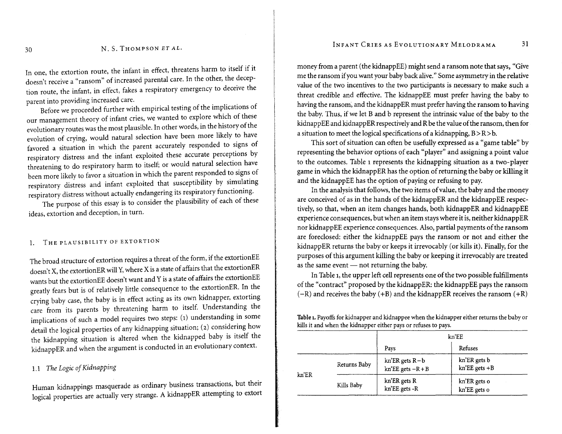#### N. S. THOMPSON ET AL.

In one, the extortion route, the infant in effect, threatens harm to itself if it doesn't receive a "ransom" of increased parental care. In the other, the deception route, the infant, in effect, fakes a respiratory emergency to deceive the parent into providing increased care.

Before we proceeded further with empirical testing of the implications of our management theory of infant cries, we wanted to explore which of these evolutionary routes was the most plausible. In other words, in the history of the evolution of crying, would natural selection have been more likely to have favored a situation in which the parent accurately responded to signs of respiratory distress and the infant exploited these accurate perceptions by threatening to do respiratory harm to itself; or would natural selection have been more likely to favor a situation in which the parent responded to signs of respiratory distress and infant exploited that susceptibility by simulating respiratory distress without actually endangering its respiratory functioning.

The purpose of this essay is to consider the plausibility of each of these ideas, extortion and deception, in turn.

#### THE PLAUSIBILITY OF EXTORTION  $\mathbf{1}$

The broad structure of extortion requires a threat of the form, if the extortionEE doesn't X, the extortionER will Y, where X is a state of affairs that the extortionER wants but the extortionEE doesn't want and Y is a state of affairs the extortionEE greatly fears but is of relatively little consequence to the extortionER. In the crying baby case, the baby is in effect acting as its own kidnapper, extorting care from its parents by threatening harm to itself. Understanding the implications of such a model requires two steps: (1) understanding in some detail the logical properties of any kidnapping situation; (2) considering how the kidnapping situation is altered when the kidnapped baby is itself the kidnappER and when the argument is conducted in an evolutionary context.

# 1.1 The Logic of Kidnapping

Human kidnappings masquerade as ordinary business transactions, but their logical properties are actually very strange. A kidnappER attempting to extort money from a parent (the kidnappEE) might send a ransom note that says, "Give me the ransom ifyou want your baby back alive."Some asymmetry in the relative value of the two incentives to the two participants is necessary to make such a threat credible and effective. The kidnappEE must prefer having the baby to having the ransom, and the kidnappER must prefer having the ransom to having the baby. Thus, if we let Band b represent the intrinsic value of the baby to the kidnappEE and kidnappER respectively and R be the value of the ransom, then for a situation to meet the logical specifications of a kidnapping,  $B > R > b$ .

This sort of situation can often be usefully expressed as a "game table" by representing the behavior options of each "player" and assigning a point value to the outcomes. Table 1 represents the kidnapping situation as a two- player game in which the kidnappER has the option of returning the baby or killing it and the kidnappEE has the option of paying or refusing to pay.

In the analysis that follows, the two items of value, the baby and the money are conceived of as in the hands of the kidnappER and the kidnappEE respectively, so that, when an item changes hands, both kidnappER and kidnappEE experience consequences, but when an item stays where it is, neither kidnappER nor kidnappEE experience consequences. Also, partial payments of the ransom are foreclosed: either the kidnappEE pays the ransom or not and either the kidnappER returns the baby or keeps it irrevocably (or kills it). Finally, for the purposes of this argument killing the baby or keeping it irrevocably are treated as the same event  $-$  not returning the baby.

In Table 1, the upper left cell represents one of the two possible fulfillments of the" contract" proposed by the kidnappER: the kidnappEE pays the ransom  $(-R)$  and receives the baby  $(+B)$  and the kidnappER receives the ransom  $(+R)$ 

Table 1. Payoffs for kidnapper and kidnappee when the kidnapper either returns the baby or kills it and when the kidnapper either pays or refuses to pays.

|                                 |              | kn'EE                                                   |                                   |  |
|---------------------------------|--------------|---------------------------------------------------------|-----------------------------------|--|
|                                 |              | Pays                                                    | Refuses                           |  |
| $kn$ <sup><math>E</math>R</sup> | Returns Baby | $kn$ <sup>'</sup> ER gets $R-b$<br>$kn'EE gets - R + B$ | kn'ER gets b<br>$kn'EE$ gets $+B$ |  |
|                                 | Kills Baby   | kn'ER gets R<br>kn'EE gets -R                           | kn'ER gets o<br>kn'EE gets o      |  |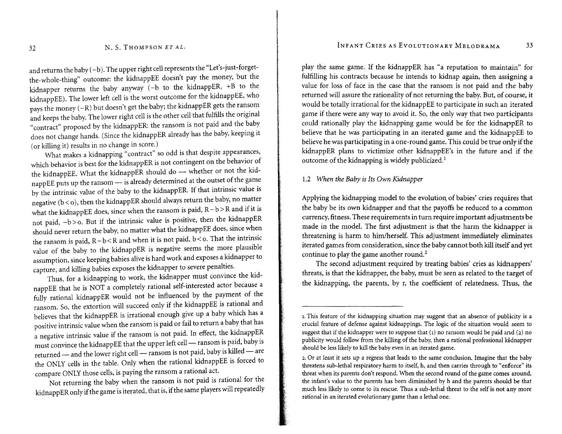#### N. S. THOMPSON ET AL.

and returns the baby  $(-b)$ . The upper right cell represents the "Let's-just-forgetthe-whole-thing" outcome: the kidnappEE doesn't pay the money, but the kidnapper returns the baby anyway (-b to the kidnappER, +B to the kidnappEE). The lower left cell is the worst outcome for the kidnappEE, who pays the money (-R) but doesn't get the baby; the kidnappER gets the ransom and keeps the baby. The lower right cell is the other cell that fulfills the original "contract" proposed by the kidnappER: the ransom is not paid and the baby does not change hands. (Since the kidnappER already has the baby, keeping it (or killing it) results in no change in score.)

What makes a kidnapping "contract" so odd is that despite appearances, which behavior is best for the kidnappER is not contingent on the behavior of the kidnappEE. What the kidnappER should do - whether or not the kidnappEE puts up the ransom - is already determined at the outset of the game by the intrinsic value of the baby to the kidnappER. If that intrinsic value is negative  $(b < o)$ , then the kidnappER should always return the baby, no matter what the kidnappEE does, since when the ransom is paid,  $R-b > R$  and if it is not paid, -b > o. But if the intrinsic value is positive, then the kidnappER should never return the baby, no matter what the kidnappEE does, since when the ransom is paid,  $R-b < R$  and when it is not paid,  $b < o$ . That the intrinsic value of the baby to the kidnappER is negative seems the more plausible assumption, since keeping babies alive is hard work and exposes a kidnapper to capture, and killing babies exposes the kidnapper to severe penalties.

Thus, for a kidnapping to work, the kidnapper must convince the kidnappEE that he is NOT a completely rational self-interested actor because a fully rational kidnappER would not be influenced by the payment of the ransom. So, the extortion will succeed only if the kidnappEE is rational and believes that the kidnappER is irrational enough give up a baby which has a positive intrinsic value when the ransom is paid or fail to return a baby that has a negative intrinsic value if the ransom is not paid. In effect, the kidnappER must convince the kidnappEE that the upper left cell - ransom is paid, baby is returned - and the lower right cell - ransom is not paid, baby is killed - are the ONLY cells in the table. Only when the rational kidnappEE is forced to compare ONLY those cells, is paying the ransom a rational act.

Not returning the baby when the ransom is not paid is rational for the kidnappER only if the game is iterated, that is, if the same players will repeatedly play the same game. If the kidnappER has "a reputation to maintain" for fulfilling his contracts because he intends to kidnap again, then assigning a value for loss of face in the case that the ransom is not paid and the baby returned will assure the rationality of not returning the baby. But, of course, it would be totally irrational for the kidnappEE to participate in such an iterated game if there were any way to avoid it. So, the only way that two participants could rationally play the kidnapping game would be for the kidnappER to believe that he was participating in an iterated game and the kidnappEE to believe he was participating in a one-round game. This could be true only if the kidnappER plans to victimize other kidnappEE's in the future and if the outcome of the kidnapping is widely publicized.!

## 1.2 When the Baby is Its Own Kidnapper

Applying the kidnapping model to the evolution, of babies' cries requires that the baby be its own kidnapper and that the payoffs be reduced to a common currency, fitness. These requirements in turn require important adjustments be made in the model. The first adjustment is that the harm the kidnapper is threatening is harm to him/herself. This adjustment immediately eliminates iterated games from consideration, since the baby cannot both kill itself and yet continue to play the game another round.<sup>2</sup>

The second adjustment required by treating babies' cries as kidnappers' threats, is that the kidnapper, the baby, must be seen as related to the target of the kidnapping, the parents, by r, the coefficient of relatedness. Thus, the

<sup>1.</sup> This feature of the kidnapping situation may suggest that an absence of publicity is a crucial feature of defense against kidnappings. The logic of the situation would seem to suggest that if the kidnapper were to suppose that  $(1)$  no ransom would be paid and  $(2)$  no publicity would follow from the killing of the baby, then a rational professional kidnapper should be less likely to kill the baby even in an iterated game.

<sup>2.</sup> Or at least it sets up a regress that leads to the same conclusion. Imagine that the baby threatens sub-lethal respiratory harm to itself, h, and then carries through to "enforce" its threat when its parents don't respond. When the second round of the game comes around, the infant's value to the parents has been diminished by h and the parents should be that much less likely to come to its rescue. Thus a sub-lethal threat to the self is not any more rational in an iterated evolutionary game than a lethal one.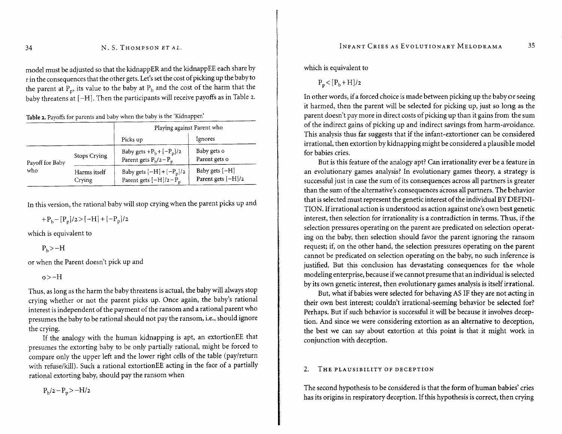model must be adjusted so that the kidnappER and the kidnappEE each share by r in the consequencesthat the other gets.Let'ssetthe cost of picking up the baby to the parent at  $P_p$ , its value to the baby at  $P_b$  and the cost of the harm that the baby threatens at  $[-H]$ . Then the participants will receive payoffs as in Table 2.

Table 2. Payoffs for parents and baby when the baby is the 'Kidnapper.'

|                 |                        | Playing against Parent who                                |                                        |  |
|-----------------|------------------------|-----------------------------------------------------------|----------------------------------------|--|
|                 |                        | Picks up                                                  | Ignores                                |  |
| Payoff for Baby | Stops Crying           | Baby gets $+P_b + [-P_p]/2$<br>Parent gets $P_b/2-P_p$    | Baby gets o<br>Parent gets o           |  |
| who             | Harms itself<br>Crying | Baby gets $[-H] + [-P_p]/2$<br>Parent gets $[-H]/2 - P_p$ | Baby gets $[-H]$<br>Parent gets [-H]/2 |  |

In this version, the rational baby will stop crying when the parent picks up and

 $+P_h - [P_n]/2 > [-H] + [-P_n]/2$ 

which is equivalent to

 $P_b$ >-H

or when the Parent doesn't pick up and

 $o$  $>-H$ 

Thus, as long as the harm the baby threatens is actual, the baby will always stop crying whether or not the parent picks up. Once again, the baby's rational interest is independent of the payment of the ransom and a rational parent who presumes the baby to be rational should not pay the ransom, i.e., should ignore the crying.

If the analogy with the human kidnapping is apt, an extortionEE that presumes the extorting baby to be only partially rational, might be forced to compare only the upper left and the lower right cells of the table (pay/return with refuse/kill). Such a rational extortionEE acting in the face of a partially rational extorting baby, should pay the ransom when

 $P_h/2-P_p > -H/2$ 

which is equivalent to

 $P_p < [P_b + H]$ 

In other words, if a forced choice is made between picking up the baby or seeing it harmed, then the parent will be selected for picking up, just so long as the parent doesn't pay more in direct costs of picking up than it gains from the sum of the indirect gains of picking up and indirect savings from harm-avoidance. This analysis thus far suggests that if the infant-extortioner can be considered irrational, then extortion by kidnapping might be considered a plausible model for babies cries.

But is this feature of the analogy apt? Can irrationality ever be a feature in an evolutionary games analysis? In evolutionary games theory, a strategy is successful just in case the sum of its consequences across all partners is greater than the sum of the alternative's consequences across all partners. The behavior that is selected must represent the genetic interest of the individual BY DEFINI-TIoN. Ifirrational action is understood as action against one's own best genetic interest, then selection for irrationality is a contradiction in terms. Thus, if the selection pressures operating on the parent are predicated on selection operating on the baby, then selection should favor the parent ignoring the ransom request; if, on the other hand, the selection pressures operating on the parent cannot be predicated on selection operating on the baby, no such inference is justified. But this conclusion has devastating consequences for the whole modeling enterprise, because ifwe cannot presume that an individual is selected by its own genetic interest, then evolutionary games analysis is itself irrational.

But, what if babies were selected for behaving ASIF they are not acting in their own best interest; couldn't irrational-seeming behavior be selected for? Perhaps. But if such behavior is successful it will be because it involves deception. And since we were considering extortion as an alternative to deception, the best we can say about extortion at this point is that it might work in conjunction with deception.

#### THE PLAUSIBILITY OF DECEPTION  $2.$

The second hypothesis to be considered is that the form of human babies' cries has its origins in respiratory deception. If this hypothesis is correct, then crying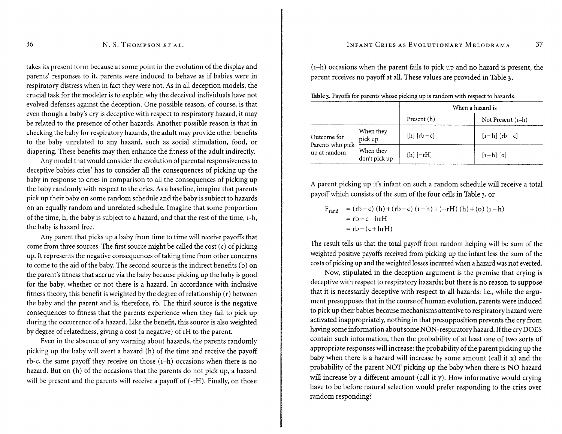### N.S. THOMPSON ET AL.

takes its present form because at some point in the evolution of the display and parents' responses to it, parents were induced to behave as if babies were in respiratory distress when in fact they were not. As in all deception models, the crucial task for the modeler is to explain why the deceived individuals have not evolved defenses against the deception. One possible reason, of course, is that even though a baby's cry is deceptive with respect to respiratory hazard, it may be related to the presence of other hazards. Another possible reason is that in checking the baby for respiratory hazards, the adult may provide other benefits to the baby unrelated to any hazard, such as social stimulation, food, or diapering. These benefits may then enhance the fitness of the adult indirectly.

Any model that would consider the evolution of parental responsiveness to deceptive babies cries' has to consider all the consequences of picking up the baby in response to cries in comparison to all the consequences of picking up the baby randomly with respect to the cries. As a baseline, imagine that parents pick up their baby on some random schedule and the baby is subject to hazards on an equally random and unrelated schedule. Imagine that some proportion of the time, h, the baby is subject to a hazard, and that the rest of the time, 1-h, the baby is hazard free.

Any parent that picks up a baby from time to time will receive payoffs that come from three sources. The first source might be called the cost (c) of picking up. It represents the negative consequences of taking time from other concerns to come to the aid of the baby. The second source is the indirect benefits (b) on the parent's fitness that accrue via the baby because picking up the baby is good for the baby, whether or not there is a hazard. In accordance with inclusive fitness theory, this benefit is weighted by the degree of relationship (r) between the baby and the parent and is, therefore, rb. The third source is the negative consequences to fitness that the parents experience when they fail to pick up during the occurrence of a hazard. Like the benefit, this source is also weighted by degree of relatedness, giving a cost (a negative) of rH to the parent.

Even in the absence of any warning about hazards, the parents randomly picking up the baby will avert a hazard (h) of the time and receive the payoff rb-c, the same payoff they receive on those  $(1-h)$  occasions when there is no hazard. But on (h) of the occasions that the parents do not pick up, a hazard will be present and the parents will receive a payoff of (-rH). Finally, on those

## INFANT CRIES AS EVOLUTIONARY MELODRAMA

(I-h) occasions when the parent fails to pick up and no hazard is present, the parent receives no payoff at all. These values are provided in Table 3.

|  | Table 3. Payoffs for parents whose picking up is random with respect to hazards |  |  |  |  |  |
|--|---------------------------------------------------------------------------------|--|--|--|--|--|
|  |                                                                                 |  |  |  |  |  |

|                                  |                            | When a hazard is |                                          |  |
|----------------------------------|----------------------------|------------------|------------------------------------------|--|
|                                  |                            | Present (h)      | Not Present $(i-h)$                      |  |
| Outcome for                      | When they<br>pick up       | $[h] [rb-c]$     | $\lceil 1-h \rceil$ $\lceil rb-c \rceil$ |  |
| Parents who pick<br>up at random | When they<br>don't pick up | $[h] [-rH]$      | $\lceil 1-h \rceil$ $\lceil 0 \rceil$    |  |

A parent picking up it's infant on such a random schedule will receive a total payoff which consists of the sum of the four cellsin Table 3, or

$$
F_{rand} = (rb - c) (h) + (rb - c) (1 - h) + (-rH) (h) + (o) (1 - h)
$$
  
= rb - c - h rH  
= rb - (c + h rH)

The result tells us that the total payoff from random helping will be sum of the weighted positive payoffs received from picking up the infant less the sum of the costs of picking up and the weighted losses incurred when a hazard was not everted.

Now, stipulated in the deception argument is the premise that crying is deceptive with respect to respiratory hazards; but there is no reason to suppose that it is necessarily deceptive with respect to all hazards: i.e., while the argument presupposes that in the course of human evolution, parents were induced to pick up their babies because mechanisms attentive to respiratory hazard were activated inappropriately, nothing in that presupposition prevents the cry from having some information about some NON -respiratory hazard. Ifthe cry DOES contain such information, then the probability of at least one of two sorts of appropriate responses willincrease: the probability of the parent picking up the baby when there is a hazard will increase by some amount (call it x) and the probability of the parent NOT picking up the baby when there is NO hazard will increase by a different amount (call it y). How informative would crying have to be before natural selection would prefer responding to the cries over random responding?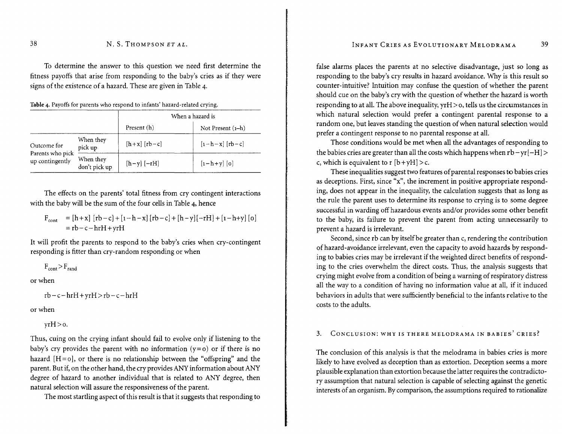To determine the answer to this question we need first determine the fitness payoffs that arise from responding to the baby's cries as if they were signs of the existence of a hazard. These are given in Table 4.

Table 4. Payoffs for parents who respond to infants' hazard-related crying.

|                                     |                            | When a hazard is |                                          |  |
|-------------------------------------|----------------------------|------------------|------------------------------------------|--|
|                                     |                            | Present (h)      | Not Present $(i-h)$                      |  |
| Outcome for                         | When they<br>pick up       | $[h+x] [rb-c]$   | $\left[1-h-x\right]$ $\left[rb-c\right]$ |  |
| Parents who pick<br>up contingently | When they<br>don't pick up | $[h-y]$ $[-rH]$  | $\left[1-h+y\right]$ $\left[0\right]$    |  |

The effects on the parents' total fitness from cry contingent interactions with the baby will be the sum of the four cells in Table 4, hence

$$
F_{\text{cont}} = [h+x] [rb-c] + [1-h-x] [rb-c] + [h-y] [-rH] + [1-h+y] [o] = rb-c-hrH + yrH
$$

It will profit the parents to respond to the baby's cries when cry-contingent responding is fitter than cry-random responding or when

 $F_{cont}$ > $F_{rand}$ 

or when

```
rb-c-hrH+yrH>rb-c-hrH
```
or when

 $yrH>0$ .

Thus, cuing on the crying infant should fail to evolve only if listening to the baby's cry provides the parent with no information  $(y=0)$  or if there is no hazard  $[H = 0]$ , or there is no relationship between the "offspring" and the parent. But if, on the other hand, the cry provides ANY information about ANY degree of hazard to another individual that is related to ANY degree, then natural selection will assure the responsiveness of the parent.

The most startling aspect of this result is that it suggests that responding to

false alarms places the parents at no selective disadvantage, just so long as responding to the baby's cry results in hazard avoidance. Why is this result so counter-intuitive? Intuition may confuse the question of whether the parent should cue on the baby's cry with the question of whether the hazard is worth responding to at all. The above inequality, yrH > 0, tells us the circumstances in which natural selection would prefer a contingent parental response to a random one, but leaves standing the question of when natural selection would prefer a contingent response to no parental response at all.

Those conditions would be met when all the advantages of responding to the babies cries are greater than all the costs which happens when  $rb - yr[-H] >$ c, which is equivalent to r  $[b + yH] > c$ .

These inequalities suggest two features of parental responses to babies cries as deceptions. First, since "x", the increment in positive appropriate responding, does not appear in the inequality, the calculation suggests that as long as the rule the parent uses to determine its response to crying is to some degree successful in warding off hazardous events and/or provides some other benefit to the baby, its failure to prevent the parent from acting unnecessarily to prevent a hazard is irrelevant.

Second, since rb can by itself be greater than c, rendering the contribution of hazard-avoidance irrelevant, even the capacity to avoid hazards by responding to babies cries may be irrelevant if the weighted direct benefits of responding to the cries overwhelm the direct costs. Thus, the analysis suggests that crying might evolve from a condition of being a warning of respiratory distress all the way to a condition of having no information value at all, if it induced behaviors in adults that were sufficiently beneficial to the infants relative to the costs to the adults.

# 3. CONCLUSION: WHY IS THERE MELODRAMA IN BABIES' CRIES?

The conclusion of this analysis is that the melodrama in babies cries is more likely to have evolved as deception than as extortion. Deception seems a more plausible explanation than extortion because the latter requires the contradictory assumption that natural selection is capable of selecting against the genetic interests of an organism. Bycomparison, the assumptions required to rationalize

38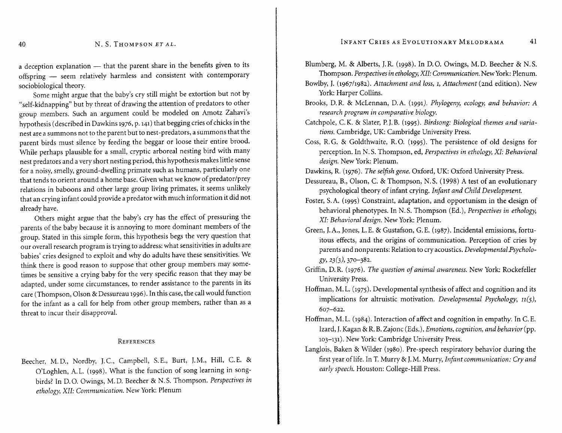#### N. S. THOMPSON ET AL.

a deception explanation - that the parent share in the benefits given to its offspring - seem relatively harmless and consistent with contemporary sociobiological theory.

Some might argue that the baby's cry still might be extortion but not by "self-kidnapping" but by threat of drawing the attention of predators to other group members. Such an argument could be modeled on Amotz Zahavi's hypothesis (described in Dawkins 1976, p. 141) that begging cries of chicks in the nest are a summons not to the parent but to nest-predators, a summons that the parent birds must silence by feeding the beggar or loose their entire brood. While perhaps plausible for a small, cryptic arboreal nesting bird with many nest predators and a very short nesting period, this hypothesis makes little sense for a noisy, smelly, ground-dwelling primate such as humans, particularly one that tends to orient around a home base. Given what we know of predator/prey relations in baboons and other large group living primates, it seems unlikely that an crying infant could provide a predator with much information it did not already have.

Others might argue that the baby's cry has the effect of pressuring the parents of the baby because it is annoying to more dominant members of the group. Stated in this simple form, this hypothesis begs the very question that our overall research program istrying to address: what sensitivities in adults are babies' cries designed to exploit and why do adults have these sensitivities. We think there is good reason to suppose that other group members may sometimes be sensitive a crying baby for the very specific reason that they may be adapted, under some circumstances, to render assistance to the parents in its care (Thompson, Olson & Dessureau 1996). In this case, the call would function for the infant as a call for help from other group members, rather than as a threat to incur their disapproval.

#### REFERENCES

Beecher, M.D., Nordby, J.C., Campbell, S.E., Burt, J.M., Hill, C.E. & O'Loghlen, A.L. (1998). What is the function of song learning in songbirds? In D.O. Owings, M. D. Beecher & N.S. Thompson. *Perspectives in ethology, XII: Communication. New York: Plenum* 

- Blumberg, M. & Alberts, J.R. (1998). In D.O. Owings, M.D. Beecher & N.S. Thompson. *Perspectives in ethology, XlI: Communication.* NewYork:Plenum.
- Bowlby,J. (1967/1982).*Attachment and loss,* 1, *Attachment* (2nd edition). New York: Harper Collins.
- Brooks, D.R. & McLennan, D.A. (1991). *Phylogeny, ecology, and behavior: A research program in comparative biology.*
- Catchpole, C.K. & Slater, P.J.B. (1995). *Birdsong: Biological themes and variations.* Cambridge, UK: Cambridge University Press.
- Coss, R.G. & Goldthwaite, R.O. (1995). The persistence of old designs for perception. In N.S. Thompson, ed, *Perspectives in ethology, XI: Behavioral* design. New York: Plenum.

Dawkins, R. (1976). *The selfish gene.* Oxford, UK: Oxford University Press.

- Dessureau, B., Olson, C. & Thompson, N.S. (1998) A test of an evolutionary psychological theory of infant crying. *Infant and Child Development.*
- Foster, S.A. (1995) Constraint, adaptation, and opportunism in the design of behavioral phenotypes. In N.S. Thompson (Ed.), *Perspectives in ethology, XI: Behavioral design. New York: Plenum.*
- Green, J.A., Jones, L.E. & Gustafson, G.E. (1987). Incidental emissions, fortuitous effects, and the origins of communication. Perception of cries by parents and nonparents: Relation to cry acoustics. *Developmental Psychology,* 23(3), 370-382.
- Griffin, D.R. (1976). *The question of animal awareness.* New York: Rockefeller University Press.
- Hoffman, M. L. (1975). Developmental synthesis of affect and cognition and its implications for altruistic motivation. *Developmental Psychology, 11(5),* 607-622.
- Hoffman, M.L. (1984). Interaction of affect and cognition in empathy. In C.E. Izard, J.Kagan & R.B.Zajonc (Eds.), *Emotions, cognition, and behavior* (pp. 103-131). New York: Cambridge University Press.
- Langlois, Baken & Wilder (1980). Pre-speech respiratory behavior during the first year oflife. In T.Murry & J.M. Murry, *Infant communication: Cry and early speech.* Houston: College-Hill Press.